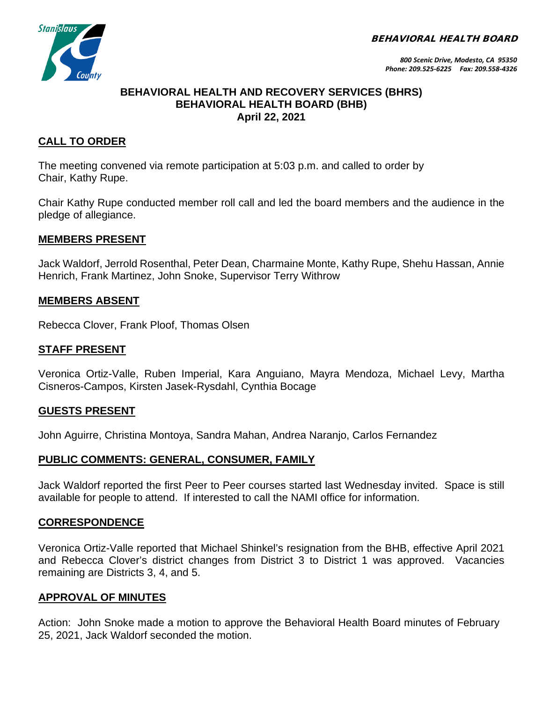BEHAVIORAL HEALTH BOARD



## **BEHAVIORAL HEALTH AND RECOVERY SERVICES (BHRS) BEHAVIORAL HEALTH BOARD (BHB) April 22, 2021**

# **CALL TO ORDER**

The meeting convened via remote participation at 5:03 p.m. and called to order by Chair, Kathy Rupe.

Chair Kathy Rupe conducted member roll call and led the board members and the audience in the pledge of allegiance.

## **MEMBERS PRESENT**

Jack Waldorf, Jerrold Rosenthal, Peter Dean, Charmaine Monte, Kathy Rupe, Shehu Hassan, Annie Henrich, Frank Martinez, John Snoke, Supervisor Terry Withrow

## **MEMBERS ABSENT**

Rebecca Clover, Frank Ploof, Thomas Olsen

## **STAFF PRESENT**

Veronica Ortiz-Valle, Ruben Imperial, Kara Anguiano, Mayra Mendoza, Michael Levy, Martha Cisneros-Campos, Kirsten Jasek-Rysdahl, Cynthia Bocage

#### **GUESTS PRESENT**

John Aguirre, Christina Montoya, Sandra Mahan, Andrea Naranjo, Carlos Fernandez

#### **PUBLIC COMMENTS: GENERAL, CONSUMER, FAMILY**

Jack Waldorf reported the first Peer to Peer courses started last Wednesday invited. Space is still available for people to attend. If interested to call the NAMI office for information.

#### **CORRESPONDENCE**

Veronica Ortiz-Valle reported that Michael Shinkel's resignation from the BHB, effective April 2021 and Rebecca Clover's district changes from District 3 to District 1 was approved. Vacancies remaining are Districts 3, 4, and 5.

#### **APPROVAL OF MINUTES**

Action: John Snoke made a motion to approve the Behavioral Health Board minutes of February 25, 2021, Jack Waldorf seconded the motion.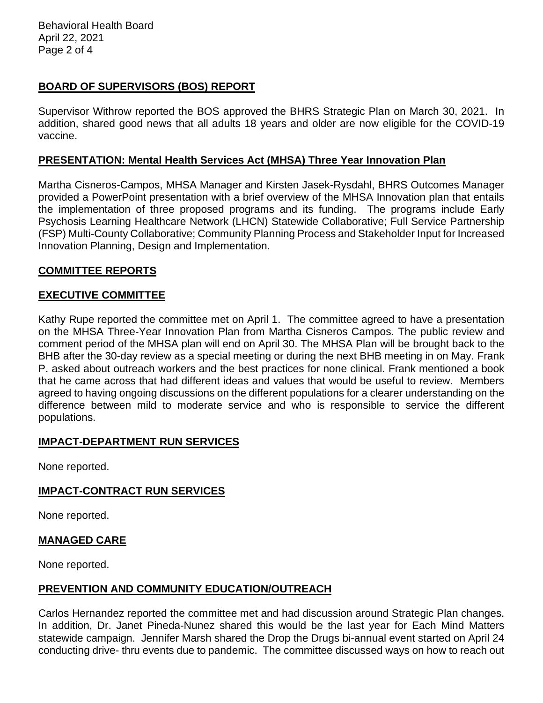Behavioral Health Board April 22, 2021 Page 2 of 4

# **BOARD OF SUPERVISORS (BOS) REPORT**

Supervisor Withrow reported the BOS approved the BHRS Strategic Plan on March 30, 2021. In addition, shared good news that all adults 18 years and older are now eligible for the COVID-19 vaccine.

## **PRESENTATION: Mental Health Services Act (MHSA) Three Year Innovation Plan**

Martha Cisneros-Campos, MHSA Manager and Kirsten Jasek-Rysdahl, BHRS Outcomes Manager provided a PowerPoint presentation with a brief overview of the MHSA Innovation plan that entails the implementation of three proposed programs and its funding. The programs include Early Psychosis Learning Healthcare Network (LHCN) Statewide Collaborative; Full Service Partnership (FSP) Multi-County Collaborative; Community Planning Process and Stakeholder Input for Increased Innovation Planning, Design and Implementation.

## **COMMITTEE REPORTS**

## **EXECUTIVE COMMITTEE**

Kathy Rupe reported the committee met on April 1. The committee agreed to have a presentation on the MHSA Three-Year Innovation Plan from Martha Cisneros Campos. The public review and comment period of the MHSA plan will end on April 30. The MHSA Plan will be brought back to the BHB after the 30-day review as a special meeting or during the next BHB meeting in on May. Frank P. asked about outreach workers and the best practices for none clinical. Frank mentioned a book that he came across that had different ideas and values that would be useful to review. Members agreed to having ongoing discussions on the different populations for a clearer understanding on the difference between mild to moderate service and who is responsible to service the different populations.

#### **IMPACT-DEPARTMENT RUN SERVICES**

None reported.

#### **IMPACT-CONTRACT RUN SERVICES**

None reported.

#### **MANAGED CARE**

None reported.

#### **PREVENTION AND COMMUNITY EDUCATION/OUTREACH**

Carlos Hernandez reported the committee met and had discussion around Strategic Plan changes. In addition, Dr. Janet Pineda-Nunez shared this would be the last year for Each Mind Matters statewide campaign. Jennifer Marsh shared the Drop the Drugs bi-annual event started on April 24 conducting drive- thru events due to pandemic. The committee discussed ways on how to reach out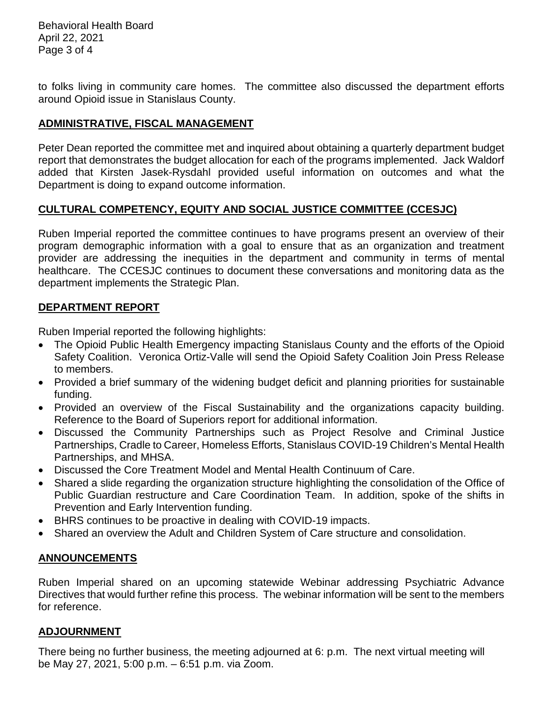Behavioral Health Board April 22, 2021 Page 3 of 4

to folks living in community care homes. The committee also discussed the department efforts around Opioid issue in Stanislaus County.

# **ADMINISTRATIVE, FISCAL MANAGEMENT**

Peter Dean reported the committee met and inquired about obtaining a quarterly department budget report that demonstrates the budget allocation for each of the programs implemented. Jack Waldorf added that Kirsten Jasek-Rysdahl provided useful information on outcomes and what the Department is doing to expand outcome information.

## **CULTURAL COMPETENCY, EQUITY AND SOCIAL JUSTICE COMMITTEE (CCESJC)**

Ruben Imperial reported the committee continues to have programs present an overview of their program demographic information with a goal to ensure that as an organization and treatment provider are addressing the inequities in the department and community in terms of mental healthcare. The CCESJC continues to document these conversations and monitoring data as the department implements the Strategic Plan.

## **DEPARTMENT REPORT**

Ruben Imperial reported the following highlights:

- The Opioid Public Health Emergency impacting Stanislaus County and the efforts of the Opioid Safety Coalition. Veronica Ortiz-Valle will send the Opioid Safety Coalition Join Press Release to members.
- Provided a brief summary of the widening budget deficit and planning priorities for sustainable funding.
- Provided an overview of the Fiscal Sustainability and the organizations capacity building. Reference to the Board of Superiors report for additional information.
- Discussed the Community Partnerships such as Project Resolve and Criminal Justice Partnerships, Cradle to Career, Homeless Efforts, Stanislaus COVID-19 Children's Mental Health Partnerships, and MHSA.
- Discussed the Core Treatment Model and Mental Health Continuum of Care.
- Shared a slide regarding the organization structure highlighting the consolidation of the Office of Public Guardian restructure and Care Coordination Team. In addition, spoke of the shifts in Prevention and Early Intervention funding.
- BHRS continues to be proactive in dealing with COVID-19 impacts.
- Shared an overview the Adult and Children System of Care structure and consolidation.

# **ANNOUNCEMENTS**

Ruben Imperial shared on an upcoming statewide Webinar addressing Psychiatric Advance Directives that would further refine this process. The webinar information will be sent to the members for reference.

# **ADJOURNMENT**

There being no further business, the meeting adjourned at 6: p.m. The next virtual meeting will be May 27, 2021, 5:00 p.m. – 6:51 p.m. via Zoom.